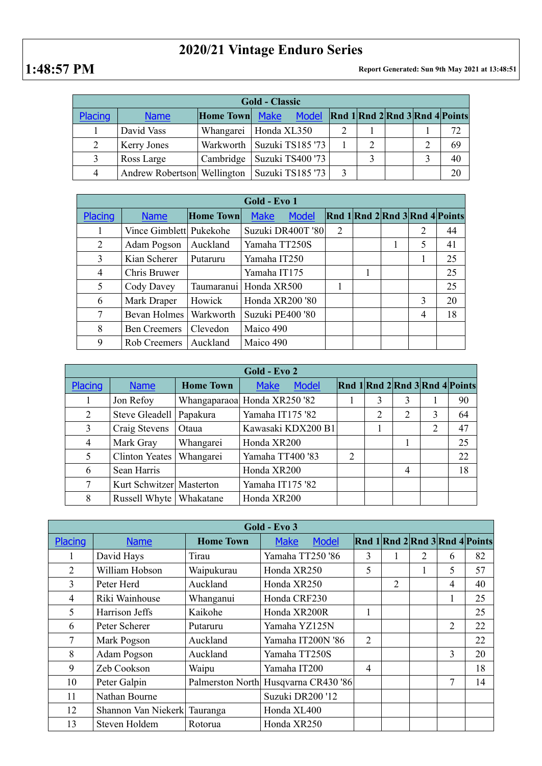## **2020/21 Vintage Enduro Series**

**1:48:57 PM Report Generated: Sun 9th May 2021 at 13:48:51**

| <b>Gold - Classic</b> |                             |                  |                                                     |  |   |  |  |    |  |  |
|-----------------------|-----------------------------|------------------|-----------------------------------------------------|--|---|--|--|----|--|--|
| Placing               | <b>Name</b>                 | <b>Home Town</b> | Model Rnd 1 Rnd 2 Rnd 3 Rnd 4 Points<br><b>Make</b> |  |   |  |  |    |  |  |
|                       | David Vass                  | Whangarei        | Honda XL350                                         |  |   |  |  | 72 |  |  |
|                       | <b>Kerry Jones</b>          |                  | Warkworth   Suzuki TS185 '73                        |  | 2 |  |  | 69 |  |  |
|                       | Ross Large                  | Cambridge        | Suzuki TS400 '73                                    |  |   |  |  | 40 |  |  |
| 4                     | Andrew Robertson Wellington |                  | Suzuki TS185 '73                                    |  |   |  |  | 20 |  |  |

| Gold - Evo 1   |                         |                  |                             |                |  |   |   |                                |  |
|----------------|-------------------------|------------------|-----------------------------|----------------|--|---|---|--------------------------------|--|
| Placing        | <b>Name</b>             | <b>Home Town</b> | <b>Model</b><br><b>Make</b> |                |  |   |   | Rnd 1 Rnd 2 Rnd 3 Rnd 4 Points |  |
|                | Vince Gimblett Pukekohe |                  | Suzuki DR400T '80           | $\overline{2}$ |  |   | 2 | 44                             |  |
| 2              | Adam Pogson             | Auckland         | Yamaha TT250S               |                |  | 1 | 5 | 41                             |  |
| 3              | Kian Scherer            | Putaruru         | Yamaha IT250                |                |  |   |   | 25                             |  |
| $\overline{4}$ | Chris Bruwer            |                  | Yamaha IT175                |                |  |   |   | 25                             |  |
| 5              | Cody Davey              | Taumaranui       | Honda XR500                 | 1              |  |   |   | 25                             |  |
| 6              | Mark Draper             | Howick           | Honda XR200 '80             |                |  |   | 3 | 20                             |  |
| 7              | <b>Bevan Holmes</b>     | Warkworth        | Suzuki PE400 '80            |                |  |   | 4 | 18                             |  |
| 8              | <b>Ben Creemers</b>     | Clevedon         | Maico 490                   |                |  |   |   |                                |  |
| 9              | Rob Creemers            | Auckland         | Maico 490                   |                |  |   |   |                                |  |

| Gold - Evo 2 |                           |                  |                              |   |                |   |   |                                |  |
|--------------|---------------------------|------------------|------------------------------|---|----------------|---|---|--------------------------------|--|
| Placing      | <b>Name</b>               | <b>Home Town</b> | <b>Make</b><br><b>Model</b>  |   |                |   |   | Rnd 1 Rnd 2 Rnd 3 Rnd 4 Points |  |
|              | Jon Refoy                 |                  | Whangaparaoa Honda XR250 '82 |   | 3              | 3 |   | 90                             |  |
| 2            | Steve Gleadell   Papakura |                  | Yamaha IT175 '82             |   | $\overline{2}$ | 2 | 3 | 64                             |  |
| 3            | Craig Stevens             | Otaua            | Kawasaki KDX200 B1           |   |                |   | 2 | 47                             |  |
| 4            | Mark Gray                 | Whangarei        | Honda XR200                  |   |                |   |   | 25                             |  |
| 5            | Clinton Yeates            | Whangarei        | Yamaha TT400 '83             | 2 |                |   |   | 22                             |  |
| 6            | Sean Harris               |                  | Honda XR200                  |   |                | 4 |   | 18                             |  |
| 7            | Kurt Schwitzer Masterton  |                  | Yamaha IT175 '82             |   |                |   |   |                                |  |
| 8            | Russell Whyte   Whakatane |                  | Honda XR200                  |   |                |   |   |                                |  |

| Gold - Evo 3   |                     |                  |                                      |                |   |   |                |                                        |  |
|----------------|---------------------|------------------|--------------------------------------|----------------|---|---|----------------|----------------------------------------|--|
| Placing        | <b>Name</b>         | <b>Home Town</b> | <b>Model</b><br><b>Make</b>          |                |   |   |                | Rnd $1$ Rnd $2$ Rnd $3$ Rnd $4$ Points |  |
|                | David Hays          | Tirau            | Yamaha TT250 '86                     | 3              | 1 | 2 | 6              | 82                                     |  |
| $\overline{2}$ | William Hobson      | Waipukurau       | Honda XR250                          | 5              |   |   | 5              | 57                                     |  |
| 3              | Peter Herd          | Auckland         | Honda XR250                          |                | 2 |   | $\overline{4}$ | 40                                     |  |
| 4              | Riki Wainhouse      | Whanganui        | Honda CRF230                         |                |   |   |                | 25                                     |  |
| 5              | Harrison Jeffs      | Kaikohe          | Honda XR200R                         |                |   |   |                | 25                                     |  |
| 6              | Peter Scherer       | Putaruru         | Yamaha YZ125N                        |                |   |   | 2              | 22                                     |  |
| 7              | Mark Pogson         | Auckland         | Yamaha IT200N '86                    | $\overline{2}$ |   |   |                | 22                                     |  |
| 8              | Adam Pogson         | Auckland         | Yamaha TT250S                        |                |   |   | 3              | 20                                     |  |
| 9              | Zeb Cookson         | Waipu            | Yamaha IT200                         | 4              |   |   |                | 18                                     |  |
| 10             | Peter Galpin        |                  | Palmerston North Husqvarna CR430 '86 |                |   |   | 7              | 14                                     |  |
| 11             | Nathan Bourne       |                  | Suzuki DR200'12                      |                |   |   |                |                                        |  |
| 12             | Shannon Van Niekerk | Tauranga         | Honda XL400                          |                |   |   |                |                                        |  |
| 13             | Steven Holdem       | Rotorua          | Honda XR250                          |                |   |   |                |                                        |  |